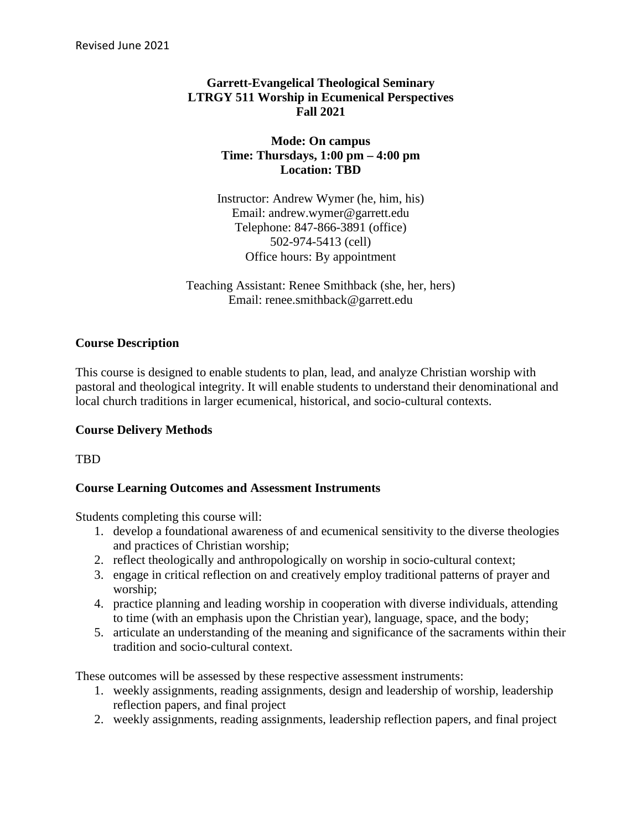## **Garrett-Evangelical Theological Seminary LTRGY 511 Worship in Ecumenical Perspectives Fall 2021**

#### **Mode: On campus Time: Thursdays, 1:00 pm – 4:00 pm Location: TBD**

Instructor: Andrew Wymer (he, him, his) Email: andrew.wymer@garrett.edu Telephone: 847-866-3891 (office) 502-974-5413 (cell) Office hours: By appointment

Teaching Assistant: Renee Smithback (she, her, hers) Email: renee.smithback@garrett.edu

#### **Course Description**

This course is designed to enable students to plan, lead, and analyze Christian worship with pastoral and theological integrity. It will enable students to understand their denominational and local church traditions in larger ecumenical, historical, and socio-cultural contexts.

#### **Course Delivery Methods**

TBD

## **Course Learning Outcomes and Assessment Instruments**

Students completing this course will:

- 1. develop a foundational awareness of and ecumenical sensitivity to the diverse theologies and practices of Christian worship;
- 2. reflect theologically and anthropologically on worship in socio-cultural context;
- 3. engage in critical reflection on and creatively employ traditional patterns of prayer and worship;
- 4. practice planning and leading worship in cooperation with diverse individuals, attending to time (with an emphasis upon the Christian year), language, space, and the body;
- 5. articulate an understanding of the meaning and significance of the sacraments within their tradition and socio-cultural context.

These outcomes will be assessed by these respective assessment instruments:

- 1. weekly assignments, reading assignments, design and leadership of worship, leadership reflection papers, and final project
- 2. weekly assignments, reading assignments, leadership reflection papers, and final project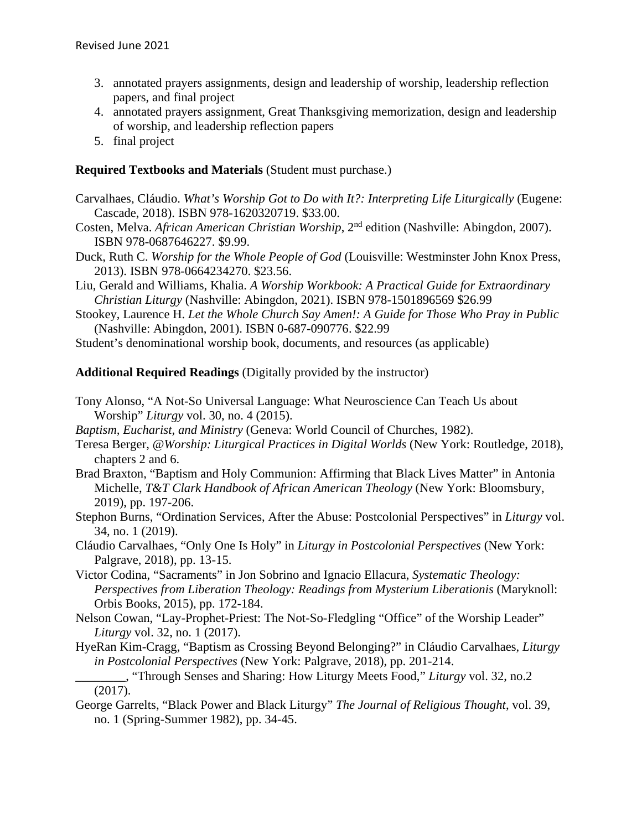- 3. annotated prayers assignments, design and leadership of worship, leadership reflection papers, and final project
- 4. annotated prayers assignment, Great Thanksgiving memorization, design and leadership of worship, and leadership reflection papers
- 5. final project

#### **Required Textbooks and Materials** (Student must purchase.)

- Carvalhaes, Cláudio. *What's Worship Got to Do with It?: Interpreting Life Liturgically* (Eugene: Cascade, 2018). ISBN 978-1620320719. \$33.00.
- Costen, Melva. *African American Christian Worship*, 2nd edition (Nashville: Abingdon, 2007). ISBN 978-0687646227. \$9.99.
- Duck, Ruth C. *Worship for the Whole People of God* (Louisville: Westminster John Knox Press, 2013). ISBN 978-0664234270. \$23.56.
- Liu, Gerald and Williams, Khalia. *A Worship Workbook: A Practical Guide for Extraordinary Christian Liturgy* (Nashville: Abingdon, 2021). ISBN 978-1501896569 \$26.99
- Stookey, Laurence H. *Let the Whole Church Say Amen!: A Guide for Those Who Pray in Public*  (Nashville: Abingdon, 2001). ISBN 0-687-090776. \$22.99
- Student's denominational worship book, documents, and resources (as applicable)

**Additional Required Readings** (Digitally provided by the instructor)

- Tony Alonso, "A Not-So Universal Language: What Neuroscience Can Teach Us about Worship" *Liturgy* vol. 30, no. 4 (2015).
- *Baptism, Eucharist, and Ministry* (Geneva: World Council of Churches, 1982).
- Teresa Berger, *@Worship: Liturgical Practices in Digital Worlds* (New York: Routledge, 2018), chapters 2 and 6.
- Brad Braxton, "Baptism and Holy Communion: Affirming that Black Lives Matter" in Antonia Michelle, *T&T Clark Handbook of African American Theology* (New York: Bloomsbury, 2019), pp. 197-206.
- Stephon Burns, "Ordination Services, After the Abuse: Postcolonial Perspectives" in *Liturgy* vol. 34, no. 1 (2019).
- Cláudio Carvalhaes, "Only One Is Holy" in *Liturgy in Postcolonial Perspectives* (New York: Palgrave, 2018), pp. 13-15.
- Victor Codina, "Sacraments" in Jon Sobrino and Ignacio Ellacura, *Systematic Theology: Perspectives from Liberation Theology: Readings from Mysterium Liberationis* (Maryknoll: Orbis Books, 2015), pp. 172-184.
- Nelson Cowan, "Lay-Prophet-Priest: The Not-So-Fledgling "Office" of the Worship Leader" *Liturgy* vol. 32, no. 1 (2017).
- HyeRan Kim-Cragg, "Baptism as Crossing Beyond Belonging?" in Cláudio Carvalhaes, *Liturgy in Postcolonial Perspectives* (New York: Palgrave, 2018), pp. 201-214.
- \_\_\_\_\_\_\_\_, "Through Senses and Sharing: How Liturgy Meets Food," *Liturgy* vol. 32, no.2 (2017).
- George Garrelts, "Black Power and Black Liturgy" *The Journal of Religious Thought*, vol. 39, no. 1 (Spring-Summer 1982), pp. 34-45.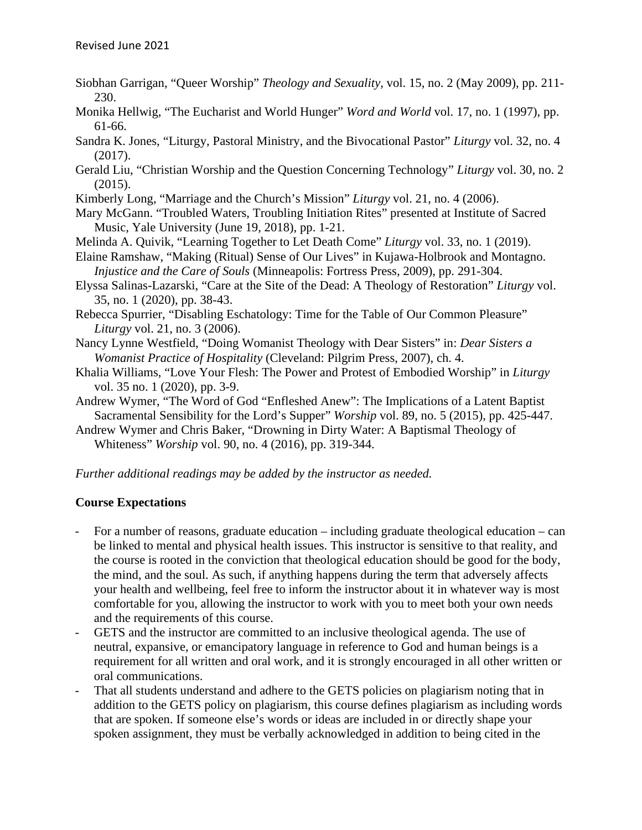- Siobhan Garrigan, "Queer Worship" *Theology and Sexuality*, vol. 15, no. 2 (May 2009), pp. 211- 230.
- Monika Hellwig, "The Eucharist and World Hunger" *Word and World* vol. 17, no. 1 (1997), pp. 61-66.
- Sandra K. Jones, "Liturgy, Pastoral Ministry, and the Bivocational Pastor" *Liturgy* vol. 32, no. 4 (2017).
- Gerald Liu, "Christian Worship and the Question Concerning Technology" *Liturgy* vol. 30, no. 2 (2015).
- Kimberly Long, "Marriage and the Church's Mission" *Liturgy* vol. 21, no. 4 (2006).
- Mary McGann. "Troubled Waters, Troubling Initiation Rites" presented at Institute of Sacred Music, Yale University (June 19, 2018), pp. 1-21.
- Melinda A. Quivik, "Learning Together to Let Death Come" *Liturgy* vol. 33, no. 1 (2019).
- Elaine Ramshaw, "Making (Ritual) Sense of Our Lives" in Kujawa-Holbrook and Montagno. *Injustice and the Care of Souls* (Minneapolis: Fortress Press, 2009), pp. 291-304.
- Elyssa Salinas-Lazarski, "Care at the Site of the Dead: A Theology of Restoration" *Liturgy* vol. 35, no. 1 (2020), pp. 38-43.
- Rebecca Spurrier, "Disabling Eschatology: Time for the Table of Our Common Pleasure" *Liturgy* vol. 21, no. 3 (2006).
- Nancy Lynne Westfield, "Doing Womanist Theology with Dear Sisters" in: *Dear Sisters a Womanist Practice of Hospitality* (Cleveland: Pilgrim Press, 2007), ch. 4.
- Khalia Williams, "Love Your Flesh: The Power and Protest of Embodied Worship" in *Liturgy*  vol. 35 no. 1 (2020), pp. 3-9.
- Andrew Wymer, "The Word of God "Enfleshed Anew": The Implications of a Latent Baptist Sacramental Sensibility for the Lord's Supper" *Worship* vol. 89, no. 5 (2015), pp. 425-447.
- Andrew Wymer and Chris Baker, "Drowning in Dirty Water: A Baptismal Theology of Whiteness" *Worship* vol. 90, no. 4 (2016), pp. 319-344.

#### *Further additional readings may be added by the instructor as needed.*

#### **Course Expectations**

- For a number of reasons, graduate education including graduate theological education can be linked to mental and physical health issues. This instructor is sensitive to that reality, and the course is rooted in the conviction that theological education should be good for the body, the mind, and the soul. As such, if anything happens during the term that adversely affects your health and wellbeing, feel free to inform the instructor about it in whatever way is most comfortable for you, allowing the instructor to work with you to meet both your own needs and the requirements of this course.
- GETS and the instructor are committed to an inclusive theological agenda. The use of neutral, expansive, or emancipatory language in reference to God and human beings is a requirement for all written and oral work, and it is strongly encouraged in all other written or oral communications.
- That all students understand and adhere to the GETS policies on plagiarism noting that in addition to the GETS policy on plagiarism, this course defines plagiarism as including words that are spoken. If someone else's words or ideas are included in or directly shape your spoken assignment, they must be verbally acknowledged in addition to being cited in the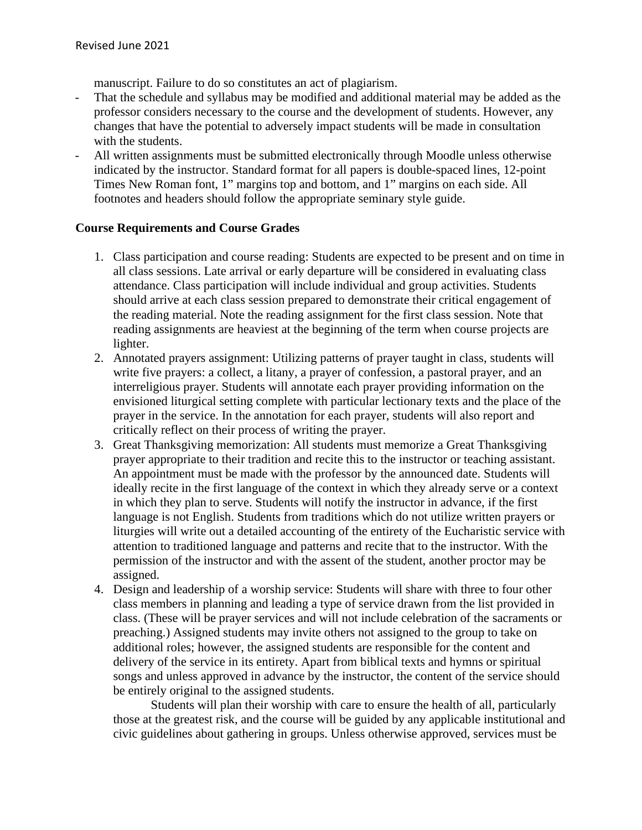manuscript. Failure to do so constitutes an act of plagiarism.

- That the schedule and syllabus may be modified and additional material may be added as the professor considers necessary to the course and the development of students. However, any changes that have the potential to adversely impact students will be made in consultation with the students.
- All written assignments must be submitted electronically through Moodle unless otherwise indicated by the instructor. Standard format for all papers is double-spaced lines, 12-point Times New Roman font, 1" margins top and bottom, and 1" margins on each side. All footnotes and headers should follow the appropriate seminary style guide.

#### **Course Requirements and Course Grades**

- 1. Class participation and course reading: Students are expected to be present and on time in all class sessions. Late arrival or early departure will be considered in evaluating class attendance. Class participation will include individual and group activities. Students should arrive at each class session prepared to demonstrate their critical engagement of the reading material. Note the reading assignment for the first class session. Note that reading assignments are heaviest at the beginning of the term when course projects are lighter.
- 2. Annotated prayers assignment: Utilizing patterns of prayer taught in class, students will write five prayers: a collect, a litany, a prayer of confession, a pastoral prayer, and an interreligious prayer. Students will annotate each prayer providing information on the envisioned liturgical setting complete with particular lectionary texts and the place of the prayer in the service. In the annotation for each prayer, students will also report and critically reflect on their process of writing the prayer.
- 3. Great Thanksgiving memorization: All students must memorize a Great Thanksgiving prayer appropriate to their tradition and recite this to the instructor or teaching assistant. An appointment must be made with the professor by the announced date. Students will ideally recite in the first language of the context in which they already serve or a context in which they plan to serve. Students will notify the instructor in advance, if the first language is not English. Students from traditions which do not utilize written prayers or liturgies will write out a detailed accounting of the entirety of the Eucharistic service with attention to traditioned language and patterns and recite that to the instructor. With the permission of the instructor and with the assent of the student, another proctor may be assigned.
- 4. Design and leadership of a worship service: Students will share with three to four other class members in planning and leading a type of service drawn from the list provided in class. (These will be prayer services and will not include celebration of the sacraments or preaching.) Assigned students may invite others not assigned to the group to take on additional roles; however, the assigned students are responsible for the content and delivery of the service in its entirety. Apart from biblical texts and hymns or spiritual songs and unless approved in advance by the instructor, the content of the service should be entirely original to the assigned students.

Students will plan their worship with care to ensure the health of all, particularly those at the greatest risk, and the course will be guided by any applicable institutional and civic guidelines about gathering in groups. Unless otherwise approved, services must be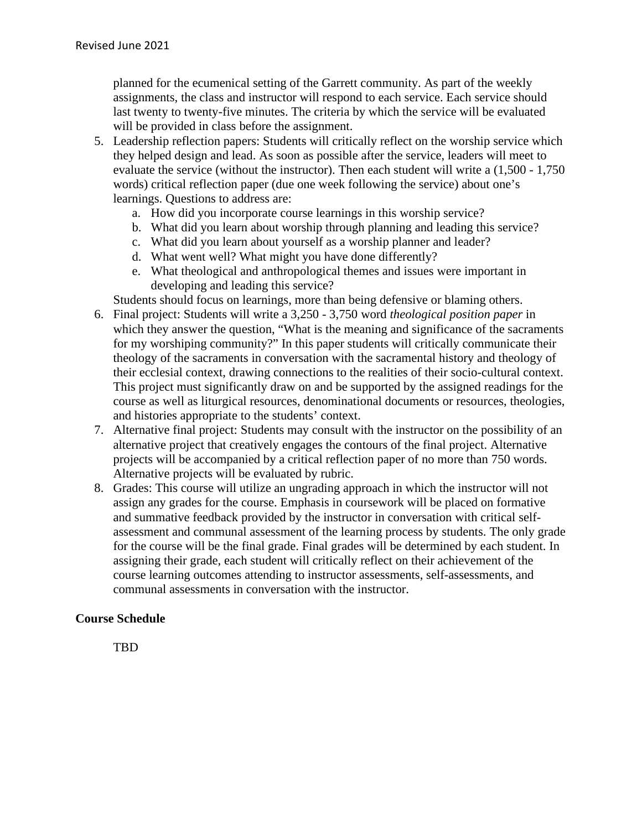planned for the ecumenical setting of the Garrett community. As part of the weekly assignments, the class and instructor will respond to each service. Each service should last twenty to twenty-five minutes. The criteria by which the service will be evaluated will be provided in class before the assignment.

- 5. Leadership reflection papers: Students will critically reflect on the worship service which they helped design and lead. As soon as possible after the service, leaders will meet to evaluate the service (without the instructor). Then each student will write a (1,500 - 1,750 words) critical reflection paper (due one week following the service) about one's learnings. Questions to address are:
	- a. How did you incorporate course learnings in this worship service?
	- b. What did you learn about worship through planning and leading this service?
	- c. What did you learn about yourself as a worship planner and leader?
	- d. What went well? What might you have done differently?
	- e. What theological and anthropological themes and issues were important in developing and leading this service?

Students should focus on learnings, more than being defensive or blaming others.

- 6. Final project: Students will write a 3,250 3,750 word *theological position paper* in which they answer the question, "What is the meaning and significance of the sacraments" for my worshiping community?" In this paper students will critically communicate their theology of the sacraments in conversation with the sacramental history and theology of their ecclesial context, drawing connections to the realities of their socio-cultural context. This project must significantly draw on and be supported by the assigned readings for the course as well as liturgical resources, denominational documents or resources, theologies, and histories appropriate to the students' context.
- 7. Alternative final project: Students may consult with the instructor on the possibility of an alternative project that creatively engages the contours of the final project. Alternative projects will be accompanied by a critical reflection paper of no more than 750 words. Alternative projects will be evaluated by rubric.
- 8. Grades: This course will utilize an ungrading approach in which the instructor will not assign any grades for the course. Emphasis in coursework will be placed on formative and summative feedback provided by the instructor in conversation with critical selfassessment and communal assessment of the learning process by students. The only grade for the course will be the final grade. Final grades will be determined by each student. In assigning their grade, each student will critically reflect on their achievement of the course learning outcomes attending to instructor assessments, self-assessments, and communal assessments in conversation with the instructor.

#### **Course Schedule**

TBD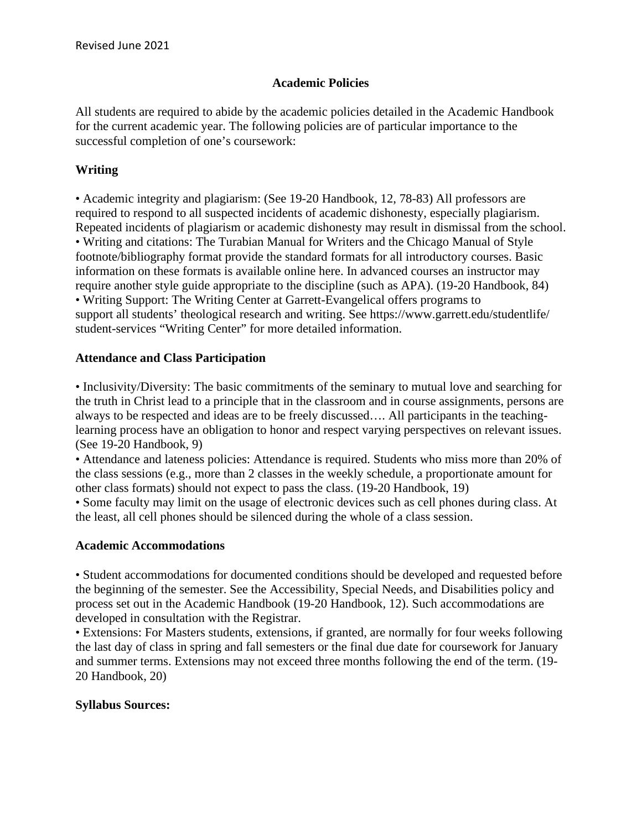#### **Academic Policies**

All students are required to abide by the academic policies detailed in the Academic Handbook for the current academic year. The following policies are of particular importance to the successful completion of one's coursework:

## **Writing**

• Academic integrity and plagiarism: (See 19-20 Handbook, 12, 78-83) All professors are required to respond to all suspected incidents of academic dishonesty, especially plagiarism. Repeated incidents of plagiarism or academic dishonesty may result in dismissal from the school. • Writing and citations: The Turabian Manual for Writers and the Chicago Manual of Style footnote/bibliography format provide the standard formats for all introductory courses. Basic information on these formats is available online here. In advanced courses an instructor may require another style guide appropriate to the discipline (such as APA). (19-20 Handbook, 84) • Writing Support: The Writing Center at Garrett-Evangelical offers programs to support all students' theological research and writing. See https://www.garrett.edu/studentlife/ student-services "Writing Center" for more detailed information.

### **Attendance and Class Participation**

• Inclusivity/Diversity: The basic commitments of the seminary to mutual love and searching for the truth in Christ lead to a principle that in the classroom and in course assignments, persons are always to be respected and ideas are to be freely discussed…. All participants in the teachinglearning process have an obligation to honor and respect varying perspectives on relevant issues. (See 19-20 Handbook, 9)

• Attendance and lateness policies: Attendance is required. Students who miss more than 20% of the class sessions (e.g., more than 2 classes in the weekly schedule, a proportionate amount for other class formats) should not expect to pass the class. (19-20 Handbook, 19)

• Some faculty may limit on the usage of electronic devices such as cell phones during class. At the least, all cell phones should be silenced during the whole of a class session.

#### **Academic Accommodations**

• Student accommodations for documented conditions should be developed and requested before the beginning of the semester. See the Accessibility, Special Needs, and Disabilities policy and process set out in the Academic Handbook (19-20 Handbook, 12). Such accommodations are developed in consultation with the Registrar.

• Extensions: For Masters students, extensions, if granted, are normally for four weeks following the last day of class in spring and fall semesters or the final due date for coursework for January and summer terms. Extensions may not exceed three months following the end of the term. (19- 20 Handbook, 20)

#### **Syllabus Sources:**